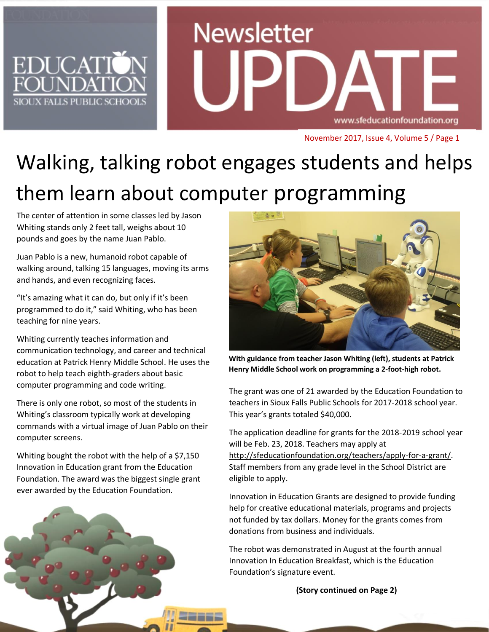

# **Newsletter** www.sfeducationfoundation.org

November 2017, Issue 4, Volume 5 / Page 1

# Walking, talking robot engages students and helps them learn about computer programming

The center of attention in some classes led by Jason Whiting stands only 2 feet tall, weighs about 10 pounds and goes by the name Juan Pablo.

Juan Pablo is a new, humanoid robot capable of walking around, talking 15 languages, moving its arms and hands, and even recognizing faces.

"It's amazing what it can do, but only if it's been programmed to do it," said Whiting, who has been teaching for nine years.

Whiting currently teaches information and communication technology, and career and technical education at Patrick Henry Middle School. He uses the robot to help teach eighth-graders about basic computer programming and code writing.

There is only one robot, so most of the students in Whiting's classroom typically work at developing commands with a virtual image of Juan Pablo on their computer screens.

Whiting bought the robot with the help of a \$7,150 Innovation in Education grant from the Education Foundation. The award was the biggest single grant ever awarded by the Education Foundation.

**With guidance from teacher Jason Whiting (left), students at Patrick Henry Middle School work on programming a 2-foot-high robot.**

The grant was one of 21 awarded by the Education Foundation to teachers in Sioux Falls Public Schools for 2017-2018 school year. This year's grants totaled \$40,000.

The application deadline for grants for the 2018-2019 school year will be Feb. 23, 2018. Teachers may apply at [http://sfeducationfoundation.org/teachers/apply-for-a-grant/.](http://sfeducationfoundation.org/teachers/apply-for-a-grant/) Staff members from any grade level in the School District are eligible to apply.

Innovation in Education Grants are designed to provide funding help for creative educational materials, programs and projects not funded by tax dollars. Money for the grants comes from donations from business and individuals.

The robot was demonstrated in August at the fourth annual Innovation In Education Breakfast, which is the Education Foundation's signature event.

**(Story continued on Page 2)**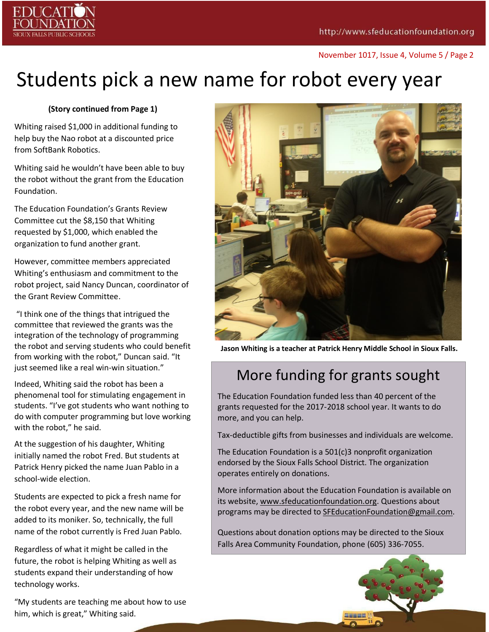

November 1017, Issue 4, Volume 5 / Page 2

# Students pick a new name for robot every year

#### **(Story continued from Page 1)**

Whiting raised \$1,000 in additional funding to help buy the Nao robot at a discounted price from SoftBank Robotics.

Whiting said he wouldn't have been able to buy the robot without the grant from the Education Foundation.

The Education Foundation's Grants Review Committee cut the \$8,150 that Whiting requested by \$1,000, which enabled the organization to fund another grant.

However, committee members appreciated Whiting's enthusiasm and commitment to the robot project, said Nancy Duncan, coordinator of the Grant Review Committee.

"I think one of the things that intrigued the committee that reviewed the grants was the integration of the technology of programming the robot and serving students who could benefit from working with the robot," Duncan said. "It just seemed like a real win-win situation."

Indeed, Whiting said the robot has been a phenomenal tool for stimulating engagement in students. "I've got students who want nothing to do with computer programming but love working with the robot," he said.

At the suggestion of his daughter, Whiting initially named the robot Fred. But students at Patrick Henry picked the name Juan Pablo in a school-wide election.

Students are expected to pick a fresh name for the robot every year, and the new name will be added to its moniker. So, technically, the full name of the robot currently is Fred Juan Pablo.

Regardless of what it might be called in the future, the robot is helping Whiting as well as students expand their understanding of how technology works.

"My students are teaching me about how to use him, which is great," Whiting said.



**Jason Whiting is a teacher at Patrick Henry Middle School in Sioux Falls.**

## More funding for grants sought

The Education Foundation funded less than 40 percent of the grants requested for the 2017-2018 school year. It wants to do more, and you can help.

Tax-deductible gifts from businesses and individuals are welcome.

The Education Foundation is a 501(c)3 nonprofit organization endorsed by the Sioux Falls School District. The organization operates entirely on donations.

More information about the Education Foundation is available on its website, [www.sfeducationfoundation.org.](http://www.sfeducationfoundation.org/) Questions about programs may be directed t[o SFEducationFoundation@gmail.com](mailto:SFEducationFoundation@gmail.com).

Questions about donation options may be directed to the Sioux Falls Area Community Foundation, phone [\(605\) 336-7055.](tel:%28605%29%20336-7055)

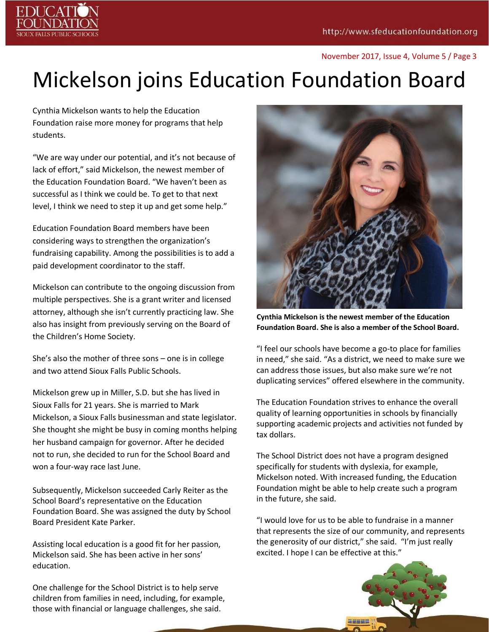

#### November 2017, Issue 4, Volume 5 / Page 3

# Mickelson joins Education Foundation Board

Cynthia Mickelson wants to help the Education Foundation raise more money for programs that help students.

"We are way under our potential, and it's not because of lack of effort," said Mickelson, the newest member of the Education Foundation Board. "We haven't been as successful as I think we could be. To get to that next level, I think we need to step it up and get some help."

Education Foundation Board members have been considering ways to strengthen the organization's fundraising capability. Among the possibilities is to add a paid development coordinator to the staff.

Mickelson can contribute to the ongoing discussion from multiple perspectives. She is a grant writer and licensed attorney, although she isn't currently practicing law. She also has insight from previously serving on the Board of the Children's Home Society.

She's also the mother of three sons – one is in college and two attend Sioux Falls Public Schools.

Mickelson grew up in Miller, S.D. but she has lived in Sioux Falls for 21 years. She is married to Mark Mickelson, a Sioux Falls businessman and state legislator. She thought she might be busy in coming months helping her husband campaign for governor. After he decided not to run, she decided to run for the School Board and won a four-way race last June.

Subsequently, Mickelson succeeded Carly Reiter as the School Board's representative on the Education Foundation Board. She was assigned the duty by School Board President Kate Parker.

Assisting local education is a good fit for her passion, Mickelson said. She has been active in her sons' education.

One challenge for the School District is to help serve children from families in need, including, for example, those with financial or language challenges, she said.



**Cynthia Mickelson is the newest member of the Education Foundation Board. She is also a member of the School Board.** 

"I feel our schools have become a go-to place for families in need," she said. "As a district, we need to make sure we can address those issues, but also make sure we're not duplicating services" offered elsewhere in the community.

The Education Foundation strives to enhance the overall quality of learning opportunities in schools by financially supporting academic projects and activities not funded by tax dollars.

The School District does not have a program designed specifically for students with dyslexia, for example, Mickelson noted. With increased funding, the Education Foundation might be able to help create such a program in the future, she said.

"I would love for us to be able to fundraise in a manner that represents the size of our community, and represents the generosity of our district," she said. "I'm just really excited. I hope I can be effective at this."